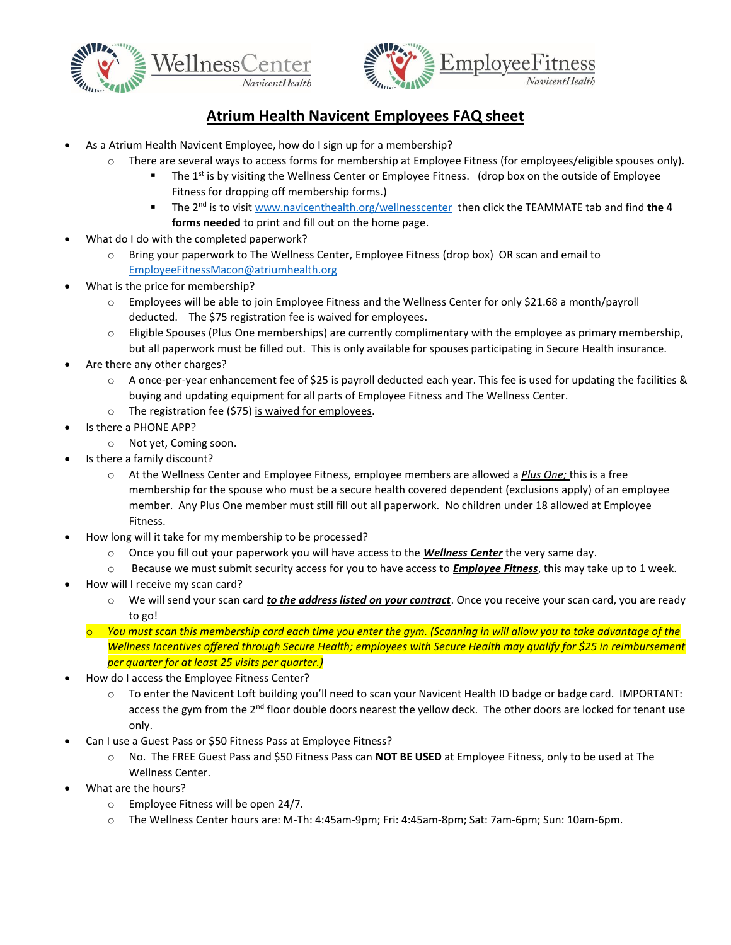



## **Atrium Health Navicent Employees FAQ sheet**

- As a Atrium Health Navicent Employee, how do I sign up for a membership?
	- o There are several ways to access forms for membership at Employee Fitness (for employees/eligible spouses only).
		- The  $1<sup>st</sup>$  is by visiting the Wellness Center or Employee Fitness. (drop box on the outside of Employee Fitness for dropping off membership forms.)
		- The 2<sup>nd</sup> is to visi[t www.navicenthealth.org/wellnesscenter](http://www.navicenthealth.org/wellnesscenter) then click the TEAMMATE tab and find the 4 **forms needed** to print and fill out on the home page.
- What do I do with the completed paperwork?
	- o Bring your paperwork to The Wellness Center, Employee Fitness (drop box) OR scan and email to [EmployeeFitnessMacon@atriumhealth.org](mailto:EmployeeFitnessMacon@atriumhealth.org)
- What is the price for membership?
	- o Employees will be able to join Employee Fitness and the Wellness Center for only \$21.68 a month/payroll deducted. The \$75 registration fee is waived for employees.
	- o Eligible Spouses (Plus One memberships) are currently complimentary with the employee as primary membership, but all paperwork must be filled out. This is only available for spouses participating in Secure Health insurance.
- Are there any other charges?
	- o A once-per-year enhancement fee of \$25 is payroll deducted each year. This fee is used for updating the facilities & buying and updating equipment for all parts of Employee Fitness and The Wellness Center.
	- o The registration fee (\$75) is waived for employees.
- Is there a PHONE APP?
	- o Not yet, Coming soon.
- Is there a family discount?
	- o At the Wellness Center and Employee Fitness, employee members are allowed a *Plus One;* this is a free membership for the spouse who must be a secure health covered dependent (exclusions apply) of an employee member. Any Plus One member must still fill out all paperwork. No children under 18 allowed at Employee Fitness.
- How long will it take for my membership to be processed?
	- o Once you fill out your paperwork you will have access to the *Wellness Center* the very same day.
	- o Because we must submit security access for you to have access to *Employee Fitness*, this may take up to 1 week.
- How will I receive my scan card?
	- o We will send your scan card *to the address listed on your contract*. Once you receive your scan card, you are ready to go!
	- o *You must scan this membership card each time you enter the gym. (Scanning in will allow you to take advantage of the Wellness Incentives offered through Secure Health; employees with Secure Health may qualify for \$25 in reimbursement per quarter for at least 25 visits per quarter.)*
- How do I access the Employee Fitness Center?
	- o To enter the Navicent Loft building you'll need to scan your Navicent Health ID badge or badge card. IMPORTANT: access the gym from the  $2<sup>nd</sup>$  floor double doors nearest the yellow deck. The other doors are locked for tenant use only.
- Can I use a Guest Pass or \$50 Fitness Pass at Employee Fitness?
	- o No. The FREE Guest Pass and \$50 Fitness Pass can **NOT BE USED** at Employee Fitness, only to be used at The Wellness Center.
- What are the hours?
	- o Employee Fitness will be open 24/7.
	- o The Wellness Center hours are: M-Th: 4:45am-9pm; Fri: 4:45am-8pm; Sat: 7am-6pm; Sun: 10am-6pm.